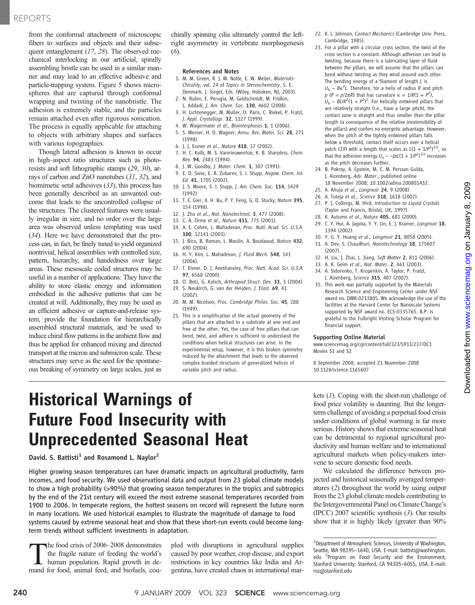### REPORTS

from the conformal attachment of microscopic fibers to surfaces and objects and their subsequent entanglement  $(17, 28)$ . The observed mechanical interlocking in our artificial, spirally assembling bristle can be used in a similar manner and may lead to an effective adhesive and particle-trapping system. Figure 5 shows microspheres that are captured through conformal wrapping and twisting of the nanobristle. The adhesion is extremely stable, and the particles remain attached even after rigorous sonication. The process is equally applicable for attaching to objects with arbitrary shapes and surfaces with various topographies.

Though lateral adhesion is known to occur in high–aspect ratio structures such as photoresists and soft lithographic stamps (29, 30), arrays of carbon and ZnO nanotubes (31, 32), and biomimetic setal adhesives (33), this process has been generally described as an unwanted outcome that leads to the uncontrolled collapse of the structures. The clustered features were usually irregular in size, and no order over the large area was observed unless templating was used (34). Here we have demonstrated that the process can, in fact, be finely tuned to yield organized nontrivial, helical assemblies with controlled size, pattern, hierarchy, and handedness over large areas. These mesoscale coiled structures may be useful in a number of applications: They have the ability to store elastic energy and information embodied in the adhesive patterns that can be created at will. Additionally, they may be used as an efficient adhesive or capture-and-release system, provide the foundation for hierarchically assembled structural materials, and be used to induce chiral flow patterns in the ambient flow and thus be applied for enhanced mixing and directed transport at the micron and submicron scale. These structures may serve as the seed for the spontaneous breaking of symmetry on large scales, just as

chirally spinning cilia ultimately control the leftright asymmetry in vertebrate morphogenesis (6).

### References and Notes

- 1. M. M. Green, R. J. M. Nolte, E. W. Meijer, Materials-Chirality, vol. 24 of Topics in Stereochemistry, S. E. Denmark, J. Siegel, Eds. (Wiley, Hoboken, NJ, 2003). 2. N. Rubin, E. Perugia, M. Goldschmidt, M. Fridkin,
- L. Addadi, J. Am. Chem. Soc. 130, 4602 (2008).
- 3. H. Lichtenegger, M. Muller, O. Paris, C. Riekel, P. Fratzl, J. Appl. Crystallogr. 32, 1127 (1999).
- 4. W. Wagermaier et al., Biointerphases 1, 1 (2006). 5. S. Weiner, H. D. Wagner, Annu. Rev. Mater. Sci. 28, 271 (1998).
- 6. J. J. Essner et al., Nature 418, 37 (2002).
- 7. H. C. Kolb, M. S. Vannieuwenhze, K. B. Sharpless, Chem. Rev. 94, 2483 (1994).
- 8. J. W. Goodby, J. Mater. Chem. 1, 307 (1991).
- 9. E. D. Sone, E. R. Zubarev, S. I. Stupp, Angew. Chem. Int. Ed. 41, 1705 (2002).
- 10. J. S. Moore, S. I. Stupp, J. Am. Chem. Soc. 114, 3429 (1992).
- 11. T. E. Gier, X. H. Bu, P. Y. Fena, G. D. Stucky, Nature 395. 154 (1998).
- 12. J. Zhu et al., Nat. Nanotechnol. 3, 477 (2008).
- 13. C. A. Orme et al., Nature 411, 775 (2001).
- 14. A. E. Cohen, L. Mahadevan, Proc. Natl. Acad. Sci. U.S.A. 100, 12141 (2003).
- 15. J. Bico, B. Roman, L. Moulin, A. Boudaoud, Nature 432, 690 (2004).
- 16. H. Y. Kim, L. Mahadevan, J. Fluid Mech. 548, 141 (2006).
- 17. T. Eisner, D. J. Aneshansley, Proc. Natl. Acad. Sci. U.S.A. 97, 6568 (2000).
- 18. O. Betz, G. Kolsch, Arthropod Struct. Dev. 33, 3 (2004). 19. S. Neukirch, G. van der Heijden, J. Elast. 69, 41  $(2002)$
- 20. M. M. Nicolson, Proc. Cambridge Philos. Soc. 45, 288 (1949).
- 21. This is a simplification of the actual geometry of the pillars that are attached to a substrate at one end and free at the other. Yet, the case of free pillars that can bend, twist, and adhere is sufficient to understand the conditions when helical structures can arise. In the experimental setup, however, it is this broken symmetry induced by the attachment that leads to the observed complex braided structures of generalized helices of variable pitch and radius.
- 22. K. L. Johnson, Contact Mechanics (Cambridge Univ. Press, Cambridge, 1985).
- 23. For a pillar with a circular cross section, the twist of the cross section is a constant. Although adhesion can lead to twisting, because there is a lubricating layer of fluid between the pillars, we will assume that the pillars can bend without twisting as they wind around each other. The bending energy of a filament of length  $L$  is  $U_{\rm b} \sim B \kappa^2 L$ . Therefore, for a helix of radius R and pitch  $p$  ( $P = p/2\pi R$ ) that has curvature  $\kappa = 1/R(1 + P^2)$ ,  $U_{\rm b} \sim BL/R^2(1 + P^2)^2$ . For helically entwined pillars that are relatively straight (i.e., have a large pitch), the contact zone is straight and thus smaller than the pillar length (a consequence of the relative inextensibility of the pillars) and confers no energetic advantage. However, when the pitch of the tightly entwined pillars falls below a threshold, contact itself occurs over a helical patch (19) with a length that scales as  $L(1 + 1/P<sup>2</sup>)^{1/2}$ , so that the adhesion energy  $U_a \sim -J a L (1 + 1/P^2)^{1/2}$  increases as the pitch decreases further.
- 24. B. Pokroy, A. Epstein, M. C. M. Persson Gulda, J. Aizenberg, Adv. Mater., published online 18 November 2008; 10.1002/adma.200801432.
- 25. A. Ahuja et al., Langmuir 24, 9 (2008).
- 26. A. Tuteja et al., Science 318, 1618 (2007).
- 27. P. J. Collings, M. Hird, Introduction to Liquid Crystals (Taylor and Francis, Bristol, UK, 1997).
- 28. K. Autumn et al., Nature 405, 681 (2000).
- 29. C. Y. Hui, A. Jagota, Y. Y. Lin, E. J. Kramer, Langmuir 18, 1394 (2002).
- 30. Y. G. Y. Huang et al., Langmuir 21, 8058 (2005). 31. A. Dev, S. Chaudhuri, Nanotechnology 18, 175607
- (2007).
- 32. H. Liu, J. Zhai, L. Jiang, Soft Matter 2, 811 (2006).
- 33. A. K. Geim et al., Nat. Mater. 2, 461 (2003).
- 34. A. Sidorenko, T. Krupenkin, A. Taylor, P. Fratzl, J. Aizenberg, Science 315, 487 (2007).
- 35. This work was partially supported by the Materials Research Science and Engineering Center under NSF award no. DMR-0213805. We acknowledge the use of the facilities at the Harvard Center for Nanoscale Systems supported by NSF award no. ECS-0335765. B.P. is grateful to the Fulbright Visiting Scholar Program for financial support.

### Supporting Online Material

www.sciencemag.org/cgi/content/full/323/5911/237/DC1 Movies S1 and S2

8 September 2008; accepted 21 November 2008 10.1126/science.1165607

# Historical Warnings of Future Food Insecurity with Unprecedented Seasonal Heat

David. S. Battisti<sup>1</sup> and Rosamond L. Naylor<sup>2</sup>

Higher growing season temperatures can have dramatic impacts on agricultural productivity, farm incomes, and food security. We used observational data and output from 23 global climate models to show a high probability (>90%) that growing season temperatures in the tropics and subtropics by the end of the 21st century will exceed the most extreme seasonal temperatures recorded from 1900 to 2006. In temperate regions, the hottest seasons on record will represent the future norm in many locations. We used historical examples to illustrate the magnitude of damage to food systems caused by extreme seasonal heat and show that these short-run events could become longterm trends without sufficient investments in adaptation.

The food crisis of 2006–2008 demonstrates<br>the fragile nature of feeding the world's<br>human population. Rapid growth in de-<br>mand for food animal feed and biofiels. couthe fragile nature of feeding the world's mand for food, animal feed, and biofuels, cou-

pled with disruptions in agricultural supplies caused by poor weather, crop disease, and export restrictions in key countries like India and Argentina, have created chaos in international markets (1). Coping with the short-run challenge of food price volatility is daunting. But the longerterm challenge of avoiding a perpetual food crisis under conditions of global warming is far more serious. History shows that extreme seasonal heat can be detrimental to regional agricultural productivity and human welfare and to international agricultural markets when policy-makers intervene to secure domestic food needs.

We calculated the difference between projected and historical seasonally averaged temperatures (2) throughout the world by using output from the 23 global climate models contributing to the Intergovernmental Panel on Climate Change's (IPCC) 2007 scientific synthesis (3). Our results show that it is highly likely (greater than 90%

<sup>&</sup>lt;sup>1</sup>Department of Atmospheric Sciences, University of Washington, Seattle, WA 98195–1640, USA. E-mail: battisti@washington. edu <sup>2</sup>Program on Food Security and the Environment, Stanford University, Stanford, CA 94305–6055, USA. E-mail: roz@stanford.edu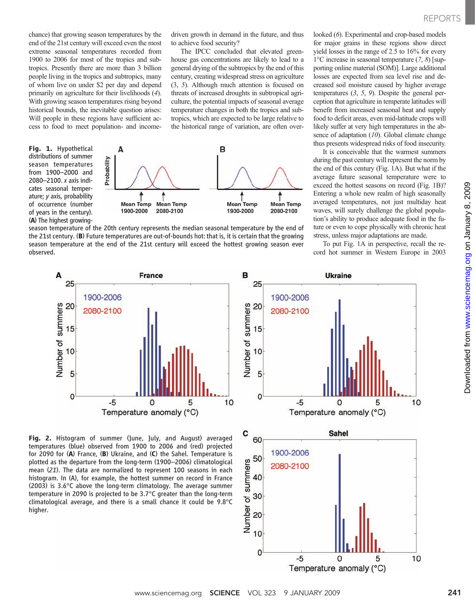chance) that growing season temperatures by the end of the 21st century will exceed even the most extreme seasonal temperatures recorded from 1900 to 2006 for most of the tropics and subtropics. Presently there are more than 3 billion people living in the tropics and subtropics, many of whom live on under \$2 per day and depend primarily on agriculture for their livelihoods (4). With growing season temperatures rising beyond historical bounds, the inevitable question arises: Will people in these regions have sufficient access to food to meet population- and income-

Fig. 1. Hypothetical distributions of summer season temperatures from 1900–2000 and 2080–2100. x axis indicates seasonal temperature; y axis, probability of occurrence (number of years in the century). (A) The highest growing-



to achieve food security?

driven growth in demand in the future, and thus

The IPCC concluded that elevated greenhouse gas concentrations are likely to lead to a general drying of the subtropics by the end of this century, creating widespread stress on agriculture (3, 5). Although much attention is focused on threats of increased droughts in subtropical agriculture, the potential impacts of seasonal average temperature changes in both the tropics and subtropics, which are expected to be large relative to the historical range of variation, are often over-

B

25

season temperature of the 20th century represents the median seasonal temperature by the end of the 21st century. (B) Future temperatures are out-of-bounds hot: that is, it is certain that the growing season temperature at the end of the 21st century will exceed the hottest growing season ever observed.

looked (6). Experimental and crop-based models for major grains in these regions show direct yield losses in the range of 2.5 to 16% for every  $1^{\circ}$ C increase in seasonal temperature  $(7, 8)$  [supporting online material (SOM)]. Large additional losses are expected from sea level rise and decreased soil moisture caused by higher average temperatures (3, 5, 9). Despite the general perception that agriculture in temperate latitudes will benefit from increased seasonal heat and supply food to deficit areas, even mid-latitude crops will likely suffer at very high temperatures in the absence of adaptation (10). Global climate change thus presents widespread risks of food insecurity.

It is conceivable that the warmest summers during the past century will represent the norm by the end of this century (Fig. 1A). But what if the average future seasonal temperature were to exceed the hottest seasons on record (Fig. 1B)? Entering a whole new realm of high seasonally averaged temperatures, not just multiday heat waves, will surely challenge the global population's ability to produce adequate food in the future or even to cope physically with chronic heat stress, unless major adaptations are made.

To put Fig. 1A in perspective, recall the record hot summer in Western Europe in 2003



Fig. 2. Histogram of summer (June, July, and August) averaged temperatures (blue) observed from 1900 to 2006 and (red) projected for 2090 for (A) France, (B) Ukraine, and (C) the Sahel. Temperature is plotted as the departure from the long-term (1900–2006) climatological mean (21). The data are normalized to represent 100 seasons in each histogram. In (A), for example, the hottest summer on record in France (2003) is 3.6°C above the long-term climatology. The average summer temperature in 2090 is projected to be 3.7°C greater than the long-term climatological average, and there is a small chance it could be 9.8°C higher.



**Ukraine**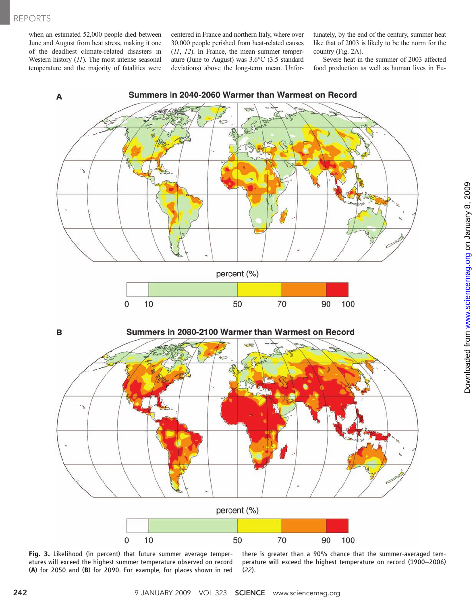when an estimated 52,000 people died between June and August from heat stress, making it one of the deadliest climate-related disasters in Western history (11). The most intense seasonal temperature and the majority of fatalities were centered in France and northern Italy, where over 30,000 people perished from heat-related causes  $(11, 12)$ . In France, the mean summer temperature (June to August) was 3.6°C (3.5 standard deviations) above the long-term mean. Unfortunately, by the end of the century, summer heat like that of 2003 is likely to be the norm for the country (Fig. 2A).

Severe heat in the summer of 2003 affected food production as well as human lives in Eu-



Fig. 3. Likelihood (in percent) that future summer average temperatures will exceed the highest summer temperature observed on record (A) for 2050 and (B) for 2090. For example, for places shown in red

there is greater than a 90% chance that the summer-averaged temperature will exceed the highest temperature on record (1900–2006) (22).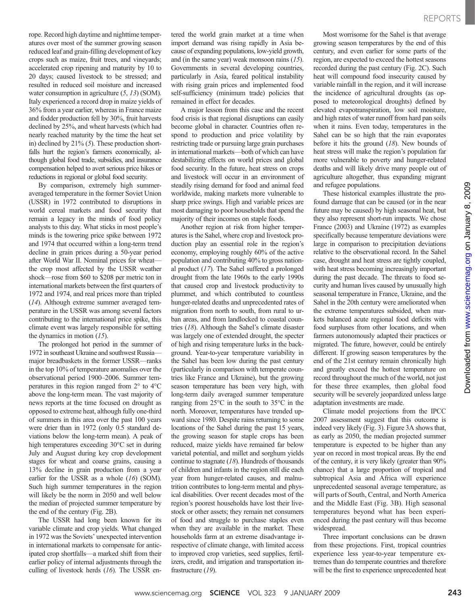rope. Record high daytime and nighttime temperatures over most of the summer growing season reduced leaf and grain-filling development of key crops such as maize, fruit trees, and vineyards; accelerated crop ripening and maturity by 10 to 20 days; caused livestock to be stressed; and resulted in reduced soil moisture and increased water consumption in agriculture  $(5, 13)$  (SOM). Italy experienced a record drop in maize yields of 36% from a year earlier, whereas in France maize and fodder production fell by 30%, fruit harvests declined by 25%, and wheat harvests (which had nearly reached maturity by the time the heat set in) declined by  $21\%$  (5). These production shortfalls hurt the region's farmers economically, although global food trade, subsidies, and insurance compensation helped to avert serious price hikes or reductions in regional or global food security.

By comparison, extremely high summeraveraged temperature in the former Soviet Union (USSR) in 1972 contributed to disruptions in world cereal markets and food security that remain a legacy in the minds of food policy analysts to this day. What sticks in most people's minds is the towering price spike between 1972 and 1974 that occurred within a long-term trend decline in grain prices during a 50-year period after World War II. Nominal prices for wheat the crop most affected by the USSR weather shock—rose from \$60 to \$208 per metric ton in international markets between the first quarters of 1972 and 1974, and real prices more than tripled (14). Although extreme summer averaged temperature in the USSR was among several factors contributing to the international price spike, this climate event was largely responsible for setting the dynamics in motion  $(15)$ .

The prolonged hot period in the summer of 1972 in southeast Ukraine and southwest Russia major breadbaskets in the former USSR—ranks in the top 10% of temperature anomalies over the observational period 1900–2006. Summer temperatures in this region ranged from 2° to 4°C above the long-term mean. The vast majority of news reports at the time focused on drought as opposed to extreme heat, although fully one-third of summers in this area over the past 100 years were drier than in 1972 (only 0.5 standard deviations below the long-term mean). A peak of high temperatures exceeding 30°C set in during July and August during key crop development stages for wheat and coarse grains, causing a 13% decline in grain production from a year earlier for the USSR as a whole  $(16)$  (SOM). Such high summer temperatures in the region will likely be the norm in 2050 and well below the median of projected summer temperature by the end of the century (Fig. 2B).

The USSR had long been known for its variable climate and crop yields. What changed in 1972 was the Soviets' unexpected intervention in international markets to compensate for anticipated crop shortfalls—a marked shift from their earlier policy of internal adjustments through the culling of livestock herds (16). The USSR entered the world grain market at a time when import demand was rising rapidly in Asia because of expanding populations, low-yield growth, and (in the same year) weak monsoon rains (15). Governments in several developing countries, particularly in Asia, feared political instability with rising grain prices and implemented food self-sufficiency (minimum trade) policies that remained in effect for decades.

A major lesson from this case and the recent food crisis is that regional disruptions can easily become global in character. Countries often respond to production and price volatility by restricting trade or pursuing large grain purchases in international markets—both of which can have destabilizing effects on world prices and global food security. In the future, heat stress on crops and livestock will occur in an environment of steadily rising demand for food and animal feed worldwide, making markets more vulnerable to sharp price swings. High and variable prices are most damaging to poor households that spend the majority of their incomes on staple foods.

Another region at risk from higher temperatures is the Sahel, where crop and livestock production play an essential role in the region's economy, employing roughly 60% of the active population and contributing 40% to gross national product (17). The Sahel suffered a prolonged drought from the late 1960s to the early 1990s that caused crop and livestock productivity to plummet, and which contributed to countless hunger-related deaths and unprecedented rates of migration from north to south, from rural to urban areas, and from landlocked to coastal countries (18). Although the Sahel's climate disaster was largely one of extended drought, the specter of high and rising temperature lurks in the background. Year-to-year temperature variability in the Sahel has been low during the past century (particularly in comparison with temperate countries like France and Ukraine), but the growing season temperature has been very high, with long-term daily averaged summer temperature ranging from 25°C in the south to 35°C in the north. Moreover, temperatures have trended upward since 1980. Despite rains returning to some locations of the Sahel during the past 15 years, the growing season for staple crops has been reduced, maize yields have remained far below varietal potential, and millet and sorghum yields continue to stagnate  $(18)$ . Hundreds of thousands of children and infants in the region still die each year from hunger-related causes, and malnutrition contributes to long-term mental and physical disabilities. Over recent decades most of the region's poorest households have lost their livestock or other assets; they remain net consumers of food and struggle to purchase staples even when they are available in the market. These households farm at an extreme disadvantage irrespective of climate change, with limited access to improved crop varieties, seed supplies, fertilizers, credit, and irrigation and transportation infrastructure (19).

Most worrisome for the Sahel is that average growing season temperatures by the end of this century, and even earlier for some parts of the region, are expected to exceed the hottest seasons recorded during the past century (Fig. 2C). Such heat will compound food insecurity caused by variable rainfall in the region, and it will increase the incidence of agricultural droughts (as opposed to meteorological droughts) defined by elevated evapotranspiration, low soil moisture, and high rates of water runoff from hard pan soils when it rains. Even today, temperatures in the Sahel can be so high that the rain evaporates before it hits the ground  $(18)$ . New bounds of heat stress will make the region's population far more vulnerable to poverty and hunger-related deaths and will likely drive many people out of agriculture altogether, thus expanding migrant and refugee populations.

These historical examples illustrate the profound damage that can be caused (or in the near future may be caused) by high seasonal heat, but they also represent short-run impacts. We chose France (2003) and Ukraine (1972) as examples specifically because temperature deviations were large in comparison to precipitation deviations relative to the observational record. In the Sahel case, drought and heat stress are tightly coupled, with heat stress becoming increasingly important during the past decade. The threats to food security and human lives caused by unusually high seasonal temperature in France, Ukraine, and the Sahel in the 20th century were ameliorated when the extreme temperatures subsided, when markets balanced acute regional food deficits with food surpluses from other locations, and when farmers autonomously adapted their practices or migrated. The future, however, could be entirely different. If growing season temperatures by the end of the 21st century remain chronically high and greatly exceed the hottest temperature on record throughout the much of the world, not just for these three examples, then global food security will be severely jeopardized unless large adaptation investments are made.

Climate model projections from the IPCC 2007 assessment suggest that this outcome is indeed very likely (Fig. 3). Figure 3A shows that, as early as 2050, the median projected summer temperature is expected to be higher than any year on record in most tropical areas. By the end of the century, it is very likely (greater than 90% chance) that a large proportion of tropical and subtropical Asia and Africa will experience unprecedented seasonal average temperature, as will parts of South, Central, and North America and the Middle East (Fig. 3B). High seasonal temperatures beyond what has been experienced during the past century will thus become widespread.

Three important conclusions can be drawn from these projections. First, tropical countries experience less year-to-year temperature extremes than do temperate countries and therefore will be the first to experience unprecedented heat